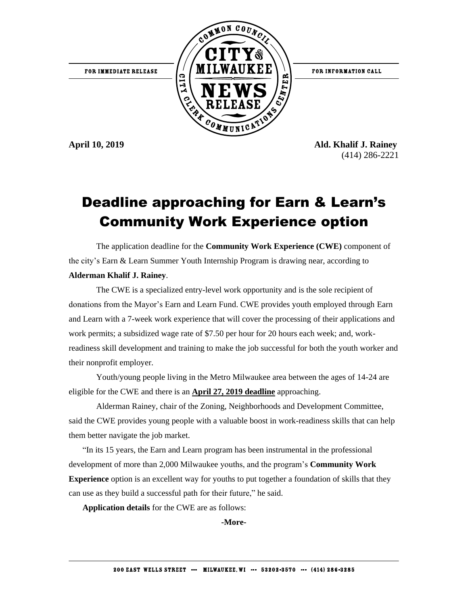

**April 10, 2019 Ald. Khalif J. Rainey** (414) 286-2221

## Deadline approaching for Earn & Learn's Community Work Experience option

The application deadline for the **Community Work Experience (CWE)** component of the city's Earn & Learn Summer Youth Internship Program is drawing near, according to **Alderman Khalif J. Rainey**.

The CWE is a specialized entry-level work opportunity and is the sole recipient of donations from the Mayor's Earn and Learn Fund. CWE provides youth employed through Earn and Learn with a 7-week work experience that will cover the processing of their applications and work permits; a subsidized wage rate of \$7.50 per hour for 20 hours each week; and, workreadiness skill development and training to make the job successful for both the youth worker and their nonprofit employer.

Youth/young people living in the Metro Milwaukee area between the ages of 14-24 are eligible for the CWE and there is an **April 27, 2019 deadline** approaching.

Alderman Rainey, chair of the Zoning, Neighborhoods and Development Committee, said the CWE provides young people with a valuable boost in work-readiness skills that can help them better navigate the job market.

"In its 15 years, the Earn and Learn program has been instrumental in the professional development of more than 2,000 Milwaukee youths, and the program's **Community Work Experience** option is an excellent way for youths to put together a foundation of skills that they can use as they build a successful path for their future," he said.

**Application details** for the CWE are as follows:

**-More-**